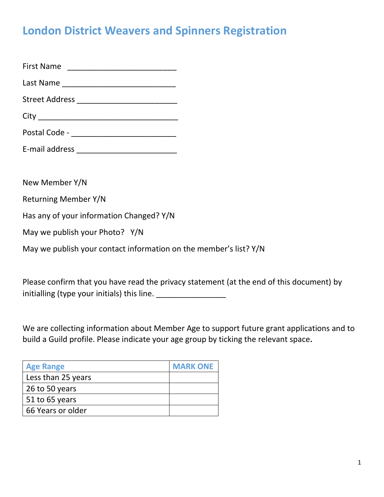# **London District Weavers and Spinners Registration**

| New Member Y/N                                                    |
|-------------------------------------------------------------------|
| Returning Member Y/N                                              |
| Has any of your information Changed? Y/N                          |
| May we publish your Photo? Y/N                                    |
| May we publish your contact information on the member's list? Y/N |

Please confirm that you have read the privacy statement (at the end of this document) by initialling (type your initials) this line. \_\_\_\_\_\_\_\_\_\_\_\_\_\_\_\_

We are collecting information about Member Age to support future grant applications and to build a Guild profile. Please indicate your age group by ticking the relevant space**.** 

| <b>Age Range</b>   | <b>MARK ONE</b> |
|--------------------|-----------------|
| Less than 25 years |                 |
| 26 to 50 years     |                 |
| 51 to 65 years     |                 |
| 66 Years or older  |                 |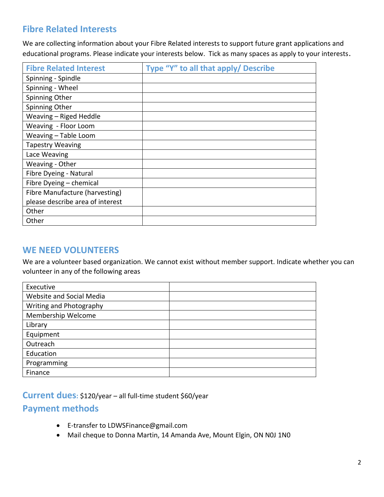# **Fibre Related Interests**

We are collecting information about your Fibre Related interests to support future grant applications and educational programs. Please indicate your interests below. Tick as many spaces as apply to your interests.

| <b>Fibre Related Interest</b>    | Type "Y" to all that apply/ Describe |
|----------------------------------|--------------------------------------|
| Spinning - Spindle               |                                      |
| Spinning - Wheel                 |                                      |
| Spinning Other                   |                                      |
| Spinning Other                   |                                      |
| Weaving - Riged Heddle           |                                      |
| Weaving - Floor Loom             |                                      |
| Weaving - Table Loom             |                                      |
| <b>Tapestry Weaving</b>          |                                      |
| Lace Weaving                     |                                      |
| Weaving - Other                  |                                      |
| Fibre Dyeing - Natural           |                                      |
| Fibre Dyeing - chemical          |                                      |
| Fibre Manufacture (harvesting)   |                                      |
| please describe area of interest |                                      |
| Other                            |                                      |
| Other                            |                                      |

#### **WE NEED VOLUNTEERS**

We are a volunteer based organization. We cannot exist without member support. Indicate whether you can volunteer in any of the following areas

| Executive                |  |
|--------------------------|--|
| Website and Social Media |  |
| Writing and Photography  |  |
| Membership Welcome       |  |
| Library                  |  |
| Equipment                |  |
| Outreach                 |  |
| Education                |  |
| Programming              |  |
| Finance                  |  |

**Current dues:** \$120/year – all full-time student \$60/year

### **Payment methods**

- E-transfer to [LDWSFinance@gmail.com](mailto:LDWSFinance@gmail.com)
- Mail cheque to Donna Martin, 14 Amanda Ave, Mount Elgin, ON N0J 1N0